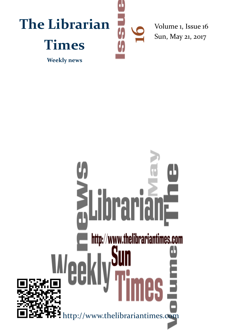

# **alibrarianale Experience Suite**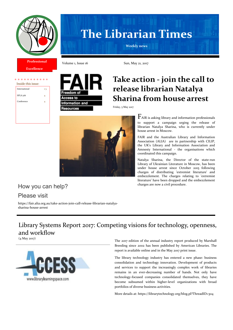

# **The Librarian Times**

**Weekly news**

**Excellence**

**Professional** 

| Inside this issue: |         |
|--------------------|---------|
| International      | $1 - 3$ |
| IIFLA job          | 4       |
| Conference         | 4       |
|                    |         |
|                    |         |



Volume 1, Issue 16 Sun, May 21, 2017

# **Take action - join the call to release librarian Natalya Sharina from house arrest**

Friday, 5 May 2017



 $F$ AIR is asking library and information professionals to support a campaign urging the release of librarian Natalya Sharina, who is currently under house arrest in Moscow.

FAIR and the Australian Library and Information Association (ALIA) are in partnership with CILIP, the UK's Library and Information Association and Amnesty International - the organisations which coordinated this campaign.

Natalya Sharina, the Director of the state-run Library of Ukrainian Literature in Moscow, has been under house arrest since October 2015 following charges of distributing 'extremist literature' and embezzlement. The charges relating to 'extremist literature' have been dropped and the embezzlement

# How you can help? The state of the charges are now a civil procedure.

Please visit

https://fair.alia.org.au/take-action-join-call-release-librarian-natalyasharina-house-arrest

# Library Systems Report 2017: Competing visions for technology, openness, and workflow



The 2017 edition of the annual industry report produced by Marshall Breeding since 2002 has been published by American Libraries. The report is available online and in the May 2017 print issue.

The library technology industry has entered a new phase: business consolidation and technology innovation. Development of products and services to support the increasingly complex work of libraries remains in an ever-decreasing number of hands. Not only have technology-focused companies consolidated themselves, they have become subsumed within higher-level organizations with broad portfolios of diverse business activities.

More details at: https://librarytechnology.org/blog.pl?ThreadID=304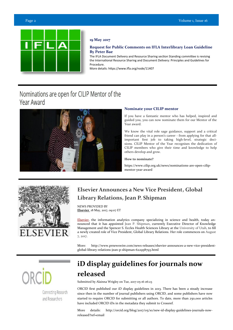

# **19 May 2017**

# **Request for Public Comments on IFLA Interlibrary Loan Guideline By Peter Bae**

The IFLA Document Delivery and Resource Sharing section Standing committee is revising the [International Resource Sharing and Document Delivery: Principles and Guidelines for](https://www.ifla.org/publications/international-resource-sharing-and-document-delivery-principles-and-guidelines-for-proc?og=56)  [Procedure.](https://www.ifla.org/publications/international-resource-sharing-and-document-delivery-principles-and-guidelines-for-proc?og=56) The contract of the contract of the contract of the contract of the contract of the contract of the contract of the contract of the contract of the contract of the contract of the contract of the contract of the

More details: https://www.ifla.org/node/11407

# Nominations are open for CILIP Mentor of the Year Award



# **Nominate your CILIP mentor**

If you have a fantastic mentor who has helped, inspired and guided you, you can now nominate them for our Mentor of the Year award.

We know the vital role sage guidance, support and a critical friend can play in a person's career - from applying for that allimportant first job to taking high-level, strategic decisions. CILIP Mentor of the Year recognises the dedication of CILIP members who give their time and knowledge to help others develop and grow.

# **How to nominate?**

https://www.cilip.org.uk/news/nominations-are-open-cilipmentor-year-award



# **Elsevier Announces a New Vice President, Global Library Relations, Jean P. Shipman**

NEWS PROVIDED BY **[Elsevier](http://www.prnewswire.com/news/elsevier)** 18 May, 2017, 09:07 ET

[Elsevier,](http://www.elsevier.com/) the information analytics company specializing in science and health, today announced that it has appointed Jean P. Shipman, currently Executive Director of Knowledge Management and the Spencer S. Eccles Health Sciences Library at the University of Utah, to fill a newly created role of Vice President, Global Library Relations. Her role commences on August 7, 2017.

More: http://www.prnewswire.com/news-releases/elsevier-announces-a-new-vice-presidentglobal-library-relations-jean-p-shipman-622958793.html

Connecting Research and Researchers

# **iD display guidelines for journals now released**

Submitted by Alainna Wrigley on Tue, 2017-05-16 06:23

ORCID first published our iD display guidelines in 2013. There has been a steady increase since then in the number of journal publishers using ORCID, and some publishers have now started to require ORCID for submitting or all authors. To date, more than 250,000 articles have included ORCID iDs in the metadata they submit to Crossref.

More details: http://orcid.org/blog/2017/05/10/new-id-display-guidelines-journals-nowreleased?ref=email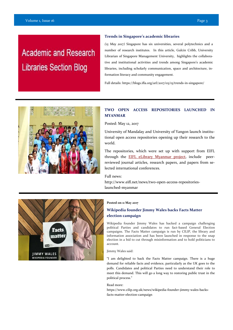# **Academic and Research Libraries Section Blog**

# **Trends in Singapore's academic libraries**

*(15 May 2017)* Singapore has six universities, several polytechnics and a number of research institutes. In this article, Gulcin Cribb, University Librarian of Singapore Management University, highlights the collaborative and institutional activities and trends among Singapore's academic libraries, including scholarly communication, space and architecture, information literacy and community engagement.

Full details: https://blogs.ifla.org/arl/2017/05/15/trends-in-singapore/



# **TWO OPEN ACCESS REPOSITORIES LAUNCHED IN MYANMAR**

Posted: May 12, 2017

University of Mandalay and University of Yangon launch institutional open access repositories opening up their research to the world.

The repositories, which were set up with support from EIFL through the [EIFL eLibrary Myanmar project,](http://www.eifl.net/eifl-in-action/elibrary-myanmar-project) include peerreviewed journal articles, research papers, and papers from selected international conferences.

# Full news:

http://www.eifl.net/news/two-open-access-repositorieslaunched-myanmar



# **Posted on 11 May 2017**

# **Wikipedia founder Jimmy Wales backs Facts Matter election campaign**

Wikipedia founder Jimmy Wales has backed a campaign challenging political Parties and candidates to run fact-based General Election campaigns. The Facts Matter campaign is run by CILIP, the library and information association and has been launched in response to the snap election in a bid to cut through misinformation and to hold politicians to account.

# Jimmy Wales said:

"I am delighted to back the Facts Matter campaign. There is a huge demand for reliable facts and evidence, particularly as the UK goes to the polls. Candidates and political Parties need to understand their role to meet this demand. This will go a long way to restoring public trust in the political process."

### Read more:

https://www.cilip.org.uk/news/wikipedia-founder-jimmy-wales-backsfacts-matter-election-campaign